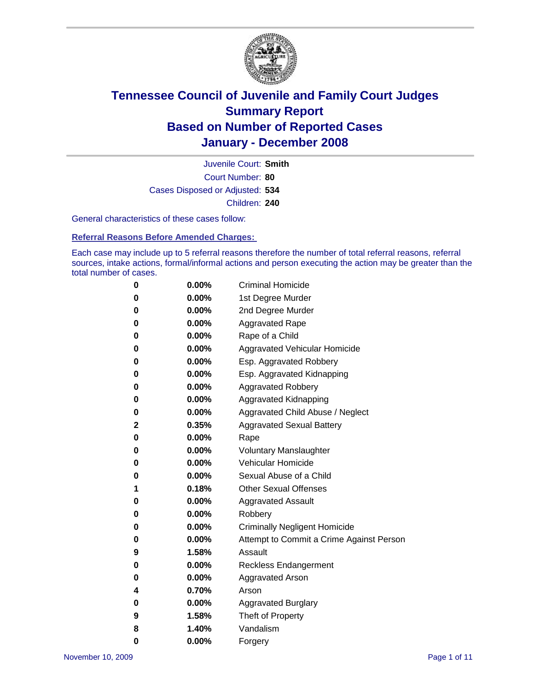

Court Number: **80** Juvenile Court: **Smith** Cases Disposed or Adjusted: **534** Children: **240**

General characteristics of these cases follow:

**Referral Reasons Before Amended Charges:** 

Each case may include up to 5 referral reasons therefore the number of total referral reasons, referral sources, intake actions, formal/informal actions and person executing the action may be greater than the total number of cases.

| 0 | $0.00\%$ | <b>Criminal Homicide</b>                 |
|---|----------|------------------------------------------|
| 0 | 0.00%    | 1st Degree Murder                        |
| 0 | $0.00\%$ | 2nd Degree Murder                        |
| 0 | 0.00%    | <b>Aggravated Rape</b>                   |
| 0 | 0.00%    | Rape of a Child                          |
| 0 | 0.00%    | Aggravated Vehicular Homicide            |
| 0 | 0.00%    | Esp. Aggravated Robbery                  |
| 0 | $0.00\%$ | Esp. Aggravated Kidnapping               |
| 0 | 0.00%    | <b>Aggravated Robbery</b>                |
| 0 | $0.00\%$ | Aggravated Kidnapping                    |
| 0 | $0.00\%$ | Aggravated Child Abuse / Neglect         |
| 2 | 0.35%    | <b>Aggravated Sexual Battery</b>         |
| 0 | 0.00%    | Rape                                     |
| 0 | $0.00\%$ | <b>Voluntary Manslaughter</b>            |
| 0 | 0.00%    | Vehicular Homicide                       |
| 0 | 0.00%    | Sexual Abuse of a Child                  |
| 1 | 0.18%    | <b>Other Sexual Offenses</b>             |
| 0 | 0.00%    | <b>Aggravated Assault</b>                |
| 0 | $0.00\%$ | Robbery                                  |
| 0 | 0.00%    | <b>Criminally Negligent Homicide</b>     |
| 0 | $0.00\%$ | Attempt to Commit a Crime Against Person |
| 9 | 1.58%    | Assault                                  |
| 0 | 0.00%    | Reckless Endangerment                    |
| 0 | 0.00%    | Aggravated Arson                         |
| 4 | 0.70%    | Arson                                    |
| 0 | $0.00\%$ | <b>Aggravated Burglary</b>               |
| 9 | 1.58%    | Theft of Property                        |
| 8 | 1.40%    | Vandalism                                |
| 0 | 0.00%    | Forgery                                  |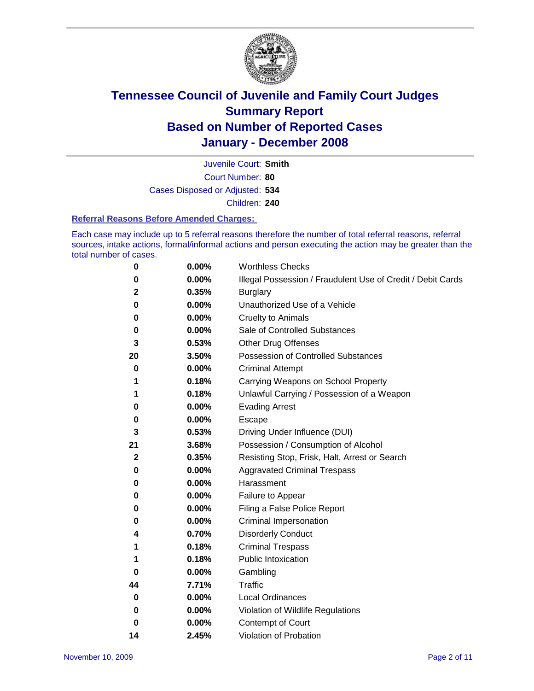

Court Number: **80** Juvenile Court: **Smith** Cases Disposed or Adjusted: **534** Children: **240**

#### **Referral Reasons Before Amended Charges:**

Each case may include up to 5 referral reasons therefore the number of total referral reasons, referral sources, intake actions, formal/informal actions and person executing the action may be greater than the total number of cases.

| 0            | 0.00%    | <b>Worthless Checks</b>                                     |
|--------------|----------|-------------------------------------------------------------|
| 0            | 0.00%    | Illegal Possession / Fraudulent Use of Credit / Debit Cards |
| 2            | 0.35%    | <b>Burglary</b>                                             |
| 0            | $0.00\%$ | Unauthorized Use of a Vehicle                               |
| 0            | 0.00%    | <b>Cruelty to Animals</b>                                   |
| 0            | 0.00%    | Sale of Controlled Substances                               |
| 3            | 0.53%    | <b>Other Drug Offenses</b>                                  |
| 20           | 3.50%    | <b>Possession of Controlled Substances</b>                  |
| 0            | 0.00%    | <b>Criminal Attempt</b>                                     |
| 1            | 0.18%    | Carrying Weapons on School Property                         |
| 1            | 0.18%    | Unlawful Carrying / Possession of a Weapon                  |
| 0            | 0.00%    | <b>Evading Arrest</b>                                       |
| 0            | 0.00%    | Escape                                                      |
| 3            | 0.53%    | Driving Under Influence (DUI)                               |
| 21           | 3.68%    | Possession / Consumption of Alcohol                         |
| $\mathbf{2}$ | 0.35%    | Resisting Stop, Frisk, Halt, Arrest or Search               |
| 0            | 0.00%    | <b>Aggravated Criminal Trespass</b>                         |
| 0            | 0.00%    | Harassment                                                  |
| 0            | 0.00%    | Failure to Appear                                           |
| 0            | 0.00%    | Filing a False Police Report                                |
| 0            | 0.00%    | Criminal Impersonation                                      |
| 4            | 0.70%    | <b>Disorderly Conduct</b>                                   |
| 1            | 0.18%    | <b>Criminal Trespass</b>                                    |
| 1            | 0.18%    | <b>Public Intoxication</b>                                  |
| 0            | 0.00%    | Gambling                                                    |
| 44           | 7.71%    | <b>Traffic</b>                                              |
| 0            | 0.00%    | Local Ordinances                                            |
| 0            | 0.00%    | Violation of Wildlife Regulations                           |
| 0            | 0.00%    | <b>Contempt of Court</b>                                    |
| 14           | 2.45%    | Violation of Probation                                      |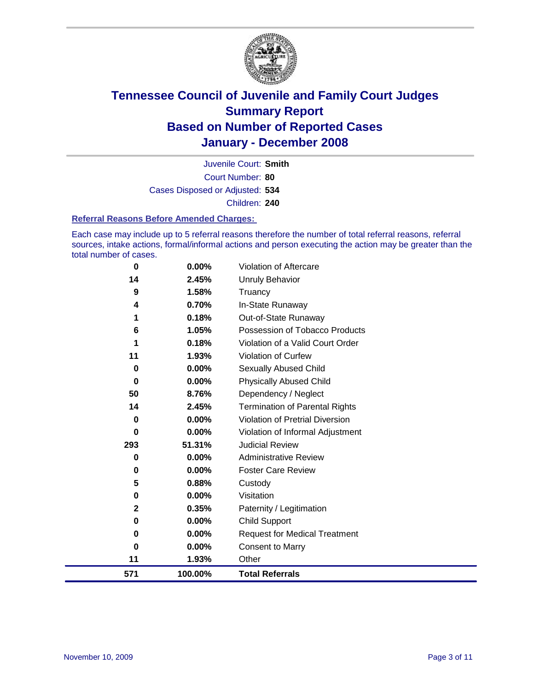

Court Number: **80** Juvenile Court: **Smith** Cases Disposed or Adjusted: **534** Children: **240**

#### **Referral Reasons Before Amended Charges:**

Each case may include up to 5 referral reasons therefore the number of total referral reasons, referral sources, intake actions, formal/informal actions and person executing the action may be greater than the total number of cases.

| 571         | 100.00% | <b>Total Referrals</b>                 |
|-------------|---------|----------------------------------------|
| 11          | 1.93%   | Other                                  |
| $\bf{0}$    | 0.00%   | <b>Consent to Marry</b>                |
| 0           | 0.00%   | <b>Request for Medical Treatment</b>   |
| 0           | 0.00%   | Child Support                          |
| $\mathbf 2$ | 0.35%   | Paternity / Legitimation               |
| 0           | 0.00%   | Visitation                             |
| 5           | 0.88%   | Custody                                |
| 0           | 0.00%   | <b>Foster Care Review</b>              |
| 0           | 0.00%   | <b>Administrative Review</b>           |
| 293         | 51.31%  | <b>Judicial Review</b>                 |
| 0           | 0.00%   | Violation of Informal Adjustment       |
| $\bf{0}$    | 0.00%   | <b>Violation of Pretrial Diversion</b> |
| 14          | 2.45%   | <b>Termination of Parental Rights</b>  |
| 50          | 8.76%   | Dependency / Neglect                   |
| $\bf{0}$    | 0.00%   | <b>Physically Abused Child</b>         |
| 0           | 0.00%   | <b>Sexually Abused Child</b>           |
| 11          | 1.93%   | Violation of Curfew                    |
| 1           | 0.18%   | Violation of a Valid Court Order       |
| 6           | 1.05%   | Possession of Tobacco Products         |
| 1           | 0.18%   | Out-of-State Runaway                   |
| 4           | 0.70%   | In-State Runaway                       |
| 9           | 1.58%   | Truancy                                |
| 14          | 2.45%   | <b>Unruly Behavior</b>                 |
| $\bf{0}$    | 0.00%   | Violation of Aftercare                 |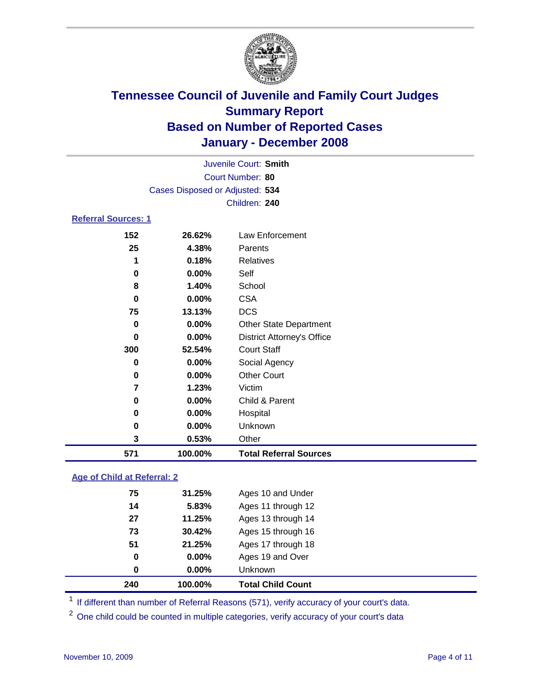

|                                 |          | Juvenile Court: Smith             |  |  |  |
|---------------------------------|----------|-----------------------------------|--|--|--|
|                                 |          | Court Number: 80                  |  |  |  |
| Cases Disposed or Adjusted: 534 |          |                                   |  |  |  |
|                                 |          | Children: 240                     |  |  |  |
| <b>Referral Sources: 1</b>      |          |                                   |  |  |  |
| 152                             | 26.62%   | Law Enforcement                   |  |  |  |
| 25                              | 4.38%    | Parents                           |  |  |  |
| 1                               | 0.18%    | <b>Relatives</b>                  |  |  |  |
| 0                               | $0.00\%$ | Self                              |  |  |  |
| 8                               | 1.40%    | School                            |  |  |  |
| 0                               | $0.00\%$ | <b>CSA</b>                        |  |  |  |
| 75                              | 13.13%   | <b>DCS</b>                        |  |  |  |
| 0                               | $0.00\%$ | <b>Other State Department</b>     |  |  |  |
| 0                               | $0.00\%$ | <b>District Attorney's Office</b> |  |  |  |
| 300                             | 52.54%   | <b>Court Staff</b>                |  |  |  |
| 0                               | 0.00%    | Social Agency                     |  |  |  |

| 571 | 100.00%  | <b>Total Referral Sources</b> |
|-----|----------|-------------------------------|
| 3   | 0.53%    | Other                         |
| 0   | $0.00\%$ | <b>Unknown</b>                |
| 0   | $0.00\%$ | Hospital                      |
| 0   | $0.00\%$ | Child & Parent                |
| 7   | 1.23%    | Victim                        |
| 0   | $0.00\%$ | <b>Other Court</b>            |
|     |          |                               |

#### **Age of Child at Referral: 2**

| 240 | 100.00% | <b>Total Child Count</b> |
|-----|---------|--------------------------|
| 0   | 0.00%   | <b>Unknown</b>           |
| 0   | 0.00%   | Ages 19 and Over         |
| 51  | 21.25%  | Ages 17 through 18       |
| 73  | 30.42%  | Ages 15 through 16       |
| 27  | 11.25%  | Ages 13 through 14       |
| 14  | 5.83%   | Ages 11 through 12       |
| 75  | 31.25%  | Ages 10 and Under        |
|     |         |                          |

<sup>1</sup> If different than number of Referral Reasons (571), verify accuracy of your court's data.

<sup>2</sup> One child could be counted in multiple categories, verify accuracy of your court's data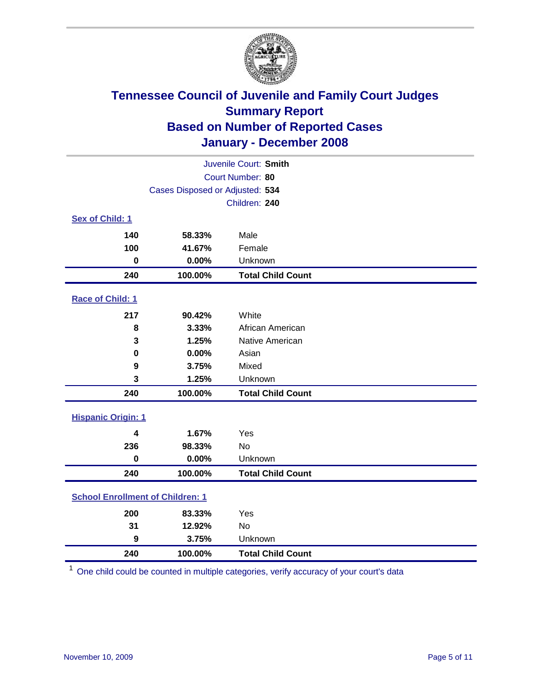

| Juvenile Court: Smith                   |                                 |                          |  |  |  |
|-----------------------------------------|---------------------------------|--------------------------|--|--|--|
| Court Number: 80                        |                                 |                          |  |  |  |
|                                         | Cases Disposed or Adjusted: 534 |                          |  |  |  |
|                                         | Children: 240                   |                          |  |  |  |
| Sex of Child: 1                         |                                 |                          |  |  |  |
| 140                                     | 58.33%                          | Male                     |  |  |  |
| 100                                     | 41.67%                          | Female                   |  |  |  |
| $\bf{0}$                                | 0.00%                           | Unknown                  |  |  |  |
| 240                                     | 100.00%                         | <b>Total Child Count</b> |  |  |  |
| Race of Child: 1                        |                                 |                          |  |  |  |
| 217                                     | 90.42%                          | White                    |  |  |  |
| 8                                       | 3.33%                           | African American         |  |  |  |
| 3                                       | 1.25%                           | Native American          |  |  |  |
| $\bf{0}$                                | 0.00%                           | Asian                    |  |  |  |
| 9                                       | 3.75%                           | Mixed                    |  |  |  |
| 3                                       | 1.25%                           | Unknown                  |  |  |  |
| 240                                     | 100.00%                         | <b>Total Child Count</b> |  |  |  |
| <b>Hispanic Origin: 1</b>               |                                 |                          |  |  |  |
| 4                                       | 1.67%                           | Yes                      |  |  |  |
| 236                                     | 98.33%                          | <b>No</b>                |  |  |  |
| $\mathbf 0$                             | 0.00%                           | Unknown                  |  |  |  |
| 240                                     | 100.00%                         | <b>Total Child Count</b> |  |  |  |
| <b>School Enrollment of Children: 1</b> |                                 |                          |  |  |  |
| 200                                     | 83.33%                          | Yes                      |  |  |  |
| 31                                      | 12.92%                          | No                       |  |  |  |
| 9                                       | 3.75%                           | Unknown                  |  |  |  |
| 240                                     | 100.00%                         | <b>Total Child Count</b> |  |  |  |

One child could be counted in multiple categories, verify accuracy of your court's data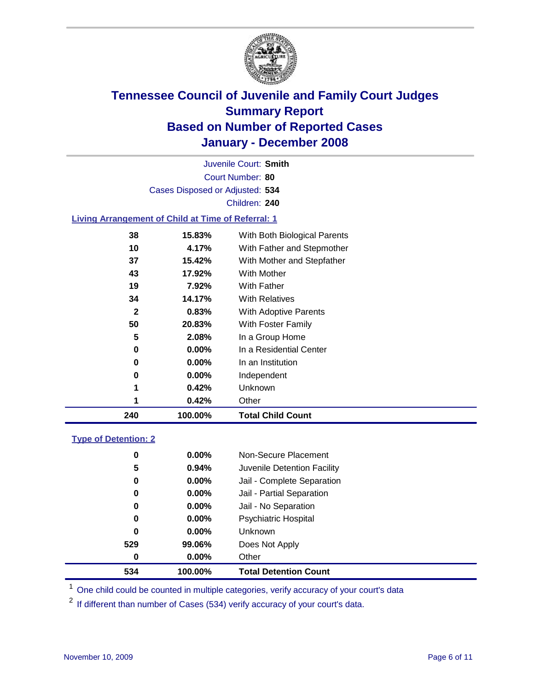

Court Number: **80** Juvenile Court: **Smith** Cases Disposed or Adjusted: **534** Children: **240**

### **Living Arrangement of Child at Time of Referral: 1**

| 240 | 100.00%  | <b>Total Child Count</b>     |
|-----|----------|------------------------------|
| 1   | 0.42%    | Other                        |
| 1   | 0.42%    | Unknown                      |
| 0   | $0.00\%$ | Independent                  |
| 0   | 0.00%    | In an Institution            |
| 0   | $0.00\%$ | In a Residential Center      |
| 5   | 2.08%    | In a Group Home              |
| 50  | 20.83%   | With Foster Family           |
| 2   | 0.83%    | With Adoptive Parents        |
| 34  | 14.17%   | <b>With Relatives</b>        |
| 19  | 7.92%    | <b>With Father</b>           |
| 43  | 17.92%   | With Mother                  |
| 37  | 15.42%   | With Mother and Stepfather   |
| 10  | 4.17%    | With Father and Stepmother   |
| 38  | 15.83%   | With Both Biological Parents |
|     |          |                              |

#### **Type of Detention: 2**

| 534 | 100.00%  | <b>Total Detention Count</b> |
|-----|----------|------------------------------|
| 0   | 0.00%    | Other                        |
| 529 | 99.06%   | Does Not Apply               |
| 0   | $0.00\%$ | <b>Unknown</b>               |
| 0   | $0.00\%$ | <b>Psychiatric Hospital</b>  |
| 0   | $0.00\%$ | Jail - No Separation         |
| 0   | $0.00\%$ | Jail - Partial Separation    |
| 0   | $0.00\%$ | Jail - Complete Separation   |
| 5   | 0.94%    | Juvenile Detention Facility  |
| 0   | $0.00\%$ | Non-Secure Placement         |
|     |          |                              |

<sup>1</sup> One child could be counted in multiple categories, verify accuracy of your court's data

<sup>2</sup> If different than number of Cases (534) verify accuracy of your court's data.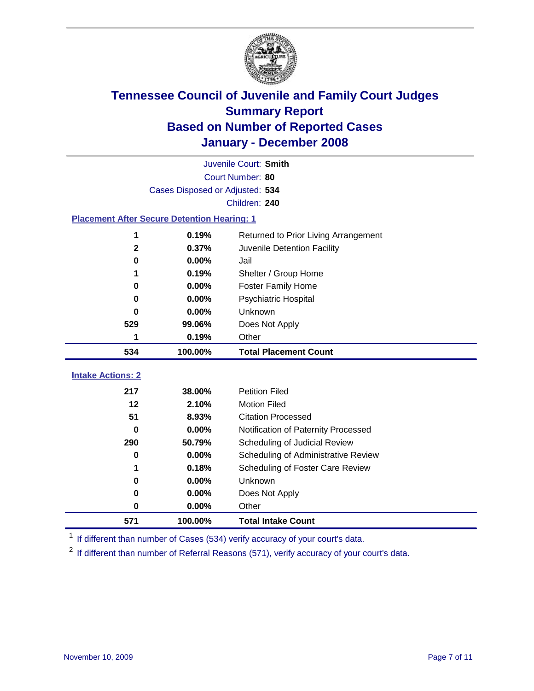

|                                                    | Juvenile Court: Smith           |                                      |  |  |  |
|----------------------------------------------------|---------------------------------|--------------------------------------|--|--|--|
|                                                    | Court Number: 80                |                                      |  |  |  |
|                                                    | Cases Disposed or Adjusted: 534 |                                      |  |  |  |
|                                                    |                                 | Children: 240                        |  |  |  |
| <b>Placement After Secure Detention Hearing: 1</b> |                                 |                                      |  |  |  |
| 1                                                  | 0.19%                           | Returned to Prior Living Arrangement |  |  |  |
| $\mathbf 2$                                        | 0.37%                           | Juvenile Detention Facility          |  |  |  |
| $\bf{0}$                                           | 0.00%                           | Jail                                 |  |  |  |
| 1                                                  | 0.19%                           | Shelter / Group Home                 |  |  |  |
| $\bf{0}$                                           | 0.00%                           | <b>Foster Family Home</b>            |  |  |  |
| $\bf{0}$                                           | 0.00%                           | Psychiatric Hospital                 |  |  |  |
| 0                                                  | 0.00%                           | Unknown                              |  |  |  |
| 529                                                | 99.06%                          | Does Not Apply                       |  |  |  |
| 1                                                  | 0.19%                           | Other                                |  |  |  |
| 534                                                | 100.00%                         | <b>Total Placement Count</b>         |  |  |  |
| <b>Intake Actions: 2</b>                           |                                 |                                      |  |  |  |
| 217                                                | 38.00%                          | <b>Petition Filed</b>                |  |  |  |
| 12                                                 | 2.10%                           | <b>Motion Filed</b>                  |  |  |  |
| 51                                                 | 8.93%                           | <b>Citation Processed</b>            |  |  |  |
| 0                                                  | 0.00%                           | Notification of Paternity Processed  |  |  |  |
| 290                                                | 50.79%                          | Scheduling of Judicial Review        |  |  |  |
| 0                                                  | 0.00%                           | Scheduling of Administrative Review  |  |  |  |
|                                                    | 0.18%                           | Scheduling of Foster Care Review     |  |  |  |
| 0                                                  | 0.00%                           | Unknown                              |  |  |  |
| $\bf{0}$                                           | 0.00%                           | Does Not Apply                       |  |  |  |
| 0                                                  | 0.00%                           | Other                                |  |  |  |
| 571                                                | 100.00%                         | <b>Total Intake Count</b>            |  |  |  |

<sup>1</sup> If different than number of Cases (534) verify accuracy of your court's data.

<sup>2</sup> If different than number of Referral Reasons (571), verify accuracy of your court's data.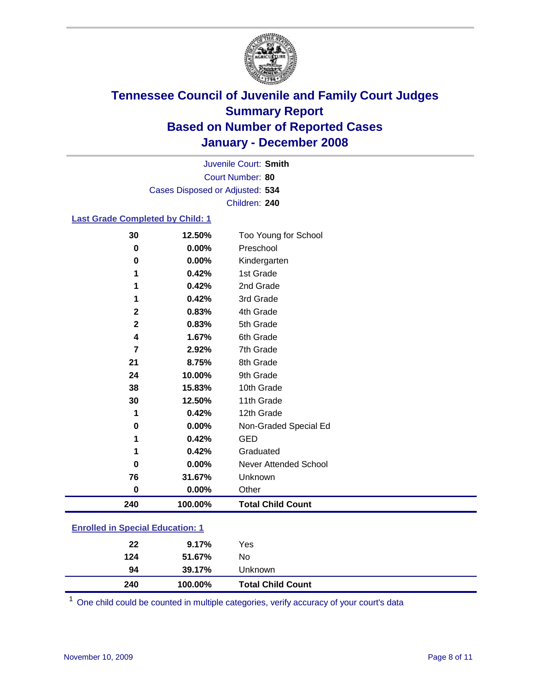

Court Number: **80** Juvenile Court: **Smith** Cases Disposed or Adjusted: **534** Children: **240**

#### **Last Grade Completed by Child: 1**

| 30           | 12.50%  | Too Young for School     |
|--------------|---------|--------------------------|
| $\bf{0}$     | 0.00%   | Preschool                |
| $\bf{0}$     | 0.00%   | Kindergarten             |
| 1            | 0.42%   | 1st Grade                |
| 1            | 0.42%   | 2nd Grade                |
| 1            | 0.42%   | 3rd Grade                |
| $\mathbf{2}$ | 0.83%   | 4th Grade                |
| $\mathbf{2}$ | 0.83%   | 5th Grade                |
| 4            | 1.67%   | 6th Grade                |
| 7            | 2.92%   | 7th Grade                |
| 21           | 8.75%   | 8th Grade                |
| 24           | 10.00%  | 9th Grade                |
| 38           | 15.83%  | 10th Grade               |
| 30           | 12.50%  | 11th Grade               |
| 1            | 0.42%   | 12th Grade               |
| 0            | 0.00%   | Non-Graded Special Ed    |
| 1            | 0.42%   | <b>GED</b>               |
| 1            | 0.42%   | Graduated                |
| $\bf{0}$     | 0.00%   | Never Attended School    |
| 76           | 31.67%  | Unknown                  |
| $\bf{0}$     | 0.00%   | Other                    |
| 240          | 100.00% | <b>Total Child Count</b> |

### **Enrolled in Special Education: 1**

| 94<br>240 | 39.17%<br>100.00% | <b>Unknown</b><br><b>Total Child Count</b> |
|-----------|-------------------|--------------------------------------------|
| 124       | 51.67%            | No                                         |
| 22        | 9.17%             | Yes                                        |

<sup>1</sup> One child could be counted in multiple categories, verify accuracy of your court's data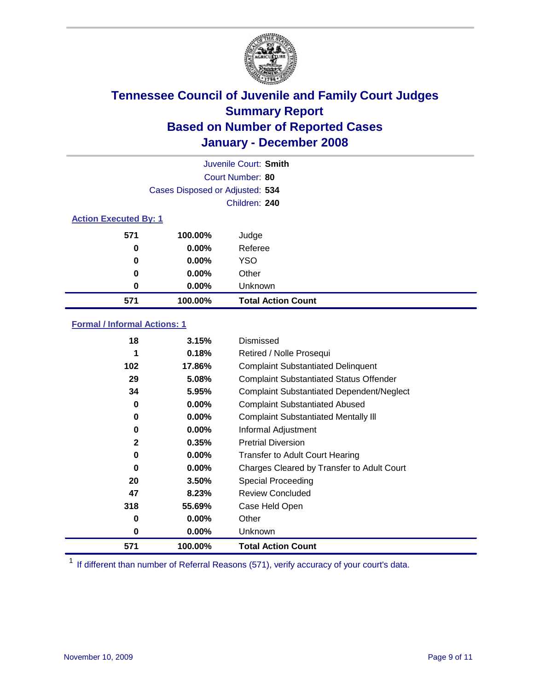

| Juvenile Court: Smith        |                                 |                           |  |  |  |
|------------------------------|---------------------------------|---------------------------|--|--|--|
| Court Number: 80             |                                 |                           |  |  |  |
|                              | Cases Disposed or Adjusted: 534 |                           |  |  |  |
|                              |                                 | Children: 240             |  |  |  |
| <b>Action Executed By: 1</b> |                                 |                           |  |  |  |
| 571                          | 100.00%                         | Judge                     |  |  |  |
| 0                            | $0.00\%$                        | Referee                   |  |  |  |
| 0                            | $0.00\%$                        | <b>YSO</b>                |  |  |  |
| 0                            | $0.00\%$                        | Other                     |  |  |  |
| 0                            | $0.00\%$                        | Unknown                   |  |  |  |
| 571                          | 100.00%                         | <b>Total Action Count</b> |  |  |  |

### **Formal / Informal Actions: 1**

| 18           | 3.15%    | Dismissed                                        |
|--------------|----------|--------------------------------------------------|
| 1            | 0.18%    | Retired / Nolle Prosequi                         |
| 102          | 17.86%   | <b>Complaint Substantiated Delinquent</b>        |
| 29           | 5.08%    | <b>Complaint Substantiated Status Offender</b>   |
| 34           | 5.95%    | <b>Complaint Substantiated Dependent/Neglect</b> |
| 0            | $0.00\%$ | <b>Complaint Substantiated Abused</b>            |
| 0            | $0.00\%$ | <b>Complaint Substantiated Mentally III</b>      |
| 0            | $0.00\%$ | Informal Adjustment                              |
| $\mathbf{2}$ | 0.35%    | <b>Pretrial Diversion</b>                        |
| 0            | $0.00\%$ | <b>Transfer to Adult Court Hearing</b>           |
| 0            | $0.00\%$ | Charges Cleared by Transfer to Adult Court       |
| 20           | 3.50%    | Special Proceeding                               |
| 47           | 8.23%    | <b>Review Concluded</b>                          |
| 318          | 55.69%   | Case Held Open                                   |
| 0            | $0.00\%$ | Other                                            |
| 0            | $0.00\%$ | <b>Unknown</b>                                   |
| 571          | 100.00%  | <b>Total Action Count</b>                        |

<sup>1</sup> If different than number of Referral Reasons (571), verify accuracy of your court's data.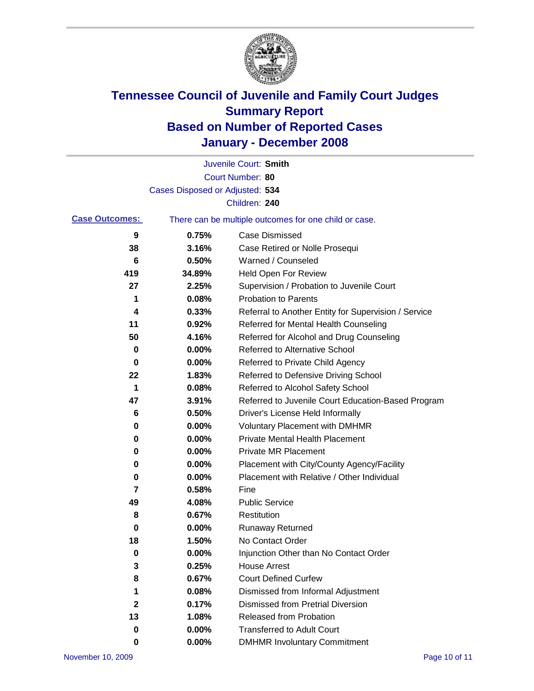

|                       |                                 | Juvenile Court: Smith                                 |
|-----------------------|---------------------------------|-------------------------------------------------------|
|                       |                                 | Court Number: 80                                      |
|                       | Cases Disposed or Adjusted: 534 |                                                       |
|                       |                                 | Children: 240                                         |
| <b>Case Outcomes:</b> |                                 | There can be multiple outcomes for one child or case. |
| 9                     | 0.75%                           | <b>Case Dismissed</b>                                 |
| 38                    | 3.16%                           | Case Retired or Nolle Prosequi                        |
| 6                     | 0.50%                           | Warned / Counseled                                    |
| 419                   | 34.89%                          | Held Open For Review                                  |
| 27                    | 2.25%                           | Supervision / Probation to Juvenile Court             |
| 1                     | 0.08%                           | <b>Probation to Parents</b>                           |
| 4                     | 0.33%                           | Referral to Another Entity for Supervision / Service  |
| 11                    | 0.92%                           | Referred for Mental Health Counseling                 |
| 50                    | 4.16%                           | Referred for Alcohol and Drug Counseling              |
| 0                     | 0.00%                           | <b>Referred to Alternative School</b>                 |
| 0                     | 0.00%                           | Referred to Private Child Agency                      |
| 22                    | 1.83%                           | Referred to Defensive Driving School                  |
| 1                     | 0.08%                           | Referred to Alcohol Safety School                     |
| 47                    | 3.91%                           | Referred to Juvenile Court Education-Based Program    |
| 6                     | 0.50%                           | Driver's License Held Informally                      |
| 0                     | 0.00%                           | <b>Voluntary Placement with DMHMR</b>                 |
| 0                     | 0.00%                           | <b>Private Mental Health Placement</b>                |
| 0                     | 0.00%                           | <b>Private MR Placement</b>                           |
| 0                     | 0.00%                           | Placement with City/County Agency/Facility            |
| 0                     | 0.00%                           | Placement with Relative / Other Individual            |
| 7                     | 0.58%                           | Fine                                                  |
| 49                    | 4.08%                           | <b>Public Service</b>                                 |
| 8                     | 0.67%                           | Restitution                                           |
| 0                     | 0.00%                           | <b>Runaway Returned</b>                               |
| 18                    | 1.50%                           | No Contact Order                                      |
| $\mathbf 0$           | 0.00%                           | Injunction Other than No Contact Order                |
| 3                     | 0.25%                           | <b>House Arrest</b>                                   |
| 8                     | 0.67%                           | <b>Court Defined Curfew</b>                           |
| 1                     | 0.08%                           | Dismissed from Informal Adjustment                    |
| $\mathbf 2$           | 0.17%                           | <b>Dismissed from Pretrial Diversion</b>              |
| 13                    | 1.08%                           | Released from Probation                               |
| 0                     | 0.00%                           | <b>Transferred to Adult Court</b>                     |
| 0                     | $0.00\%$                        | <b>DMHMR Involuntary Commitment</b>                   |